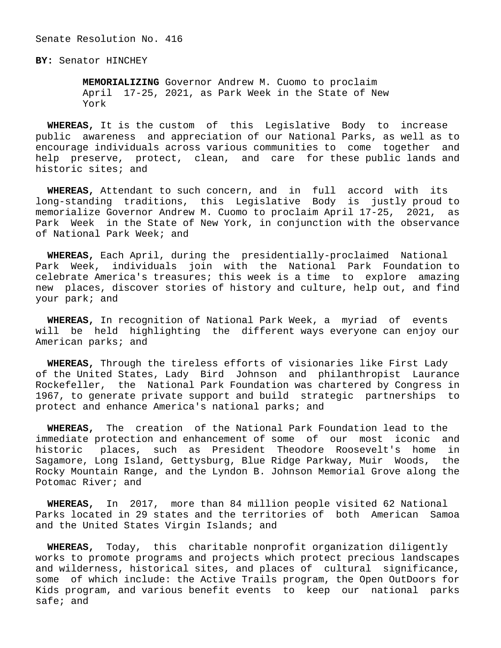Senate Resolution No. 416

**BY:** Senator HINCHEY

 **MEMORIALIZING** Governor Andrew M. Cuomo to proclaim April 17-25, 2021, as Park Week in the State of New York

 **WHEREAS,** It is the custom of this Legislative Body to increase public awareness and appreciation of our National Parks, as well as to encourage individuals across various communities to come together and help preserve, protect, clean, and care for these public lands and historic sites; and

 **WHEREAS,** Attendant to such concern, and in full accord with its long-standing traditions, this Legislative Body is justly proud to memorialize Governor Andrew M. Cuomo to proclaim April 17-25, 2021, as Park Week in the State of New York, in conjunction with the observance of National Park Week; and

 **WHEREAS,** Each April, during the presidentially-proclaimed National Park Week, individuals join with the National Park Foundation to celebrate America's treasures; this week is a time to explore amazing new places, discover stories of history and culture, help out, and find your park; and

 **WHEREAS,** In recognition of National Park Week, a myriad of events will be held highlighting the different ways everyone can enjoy our American parks; and

 **WHEREAS,** Through the tireless efforts of visionaries like First Lady of the United States, Lady Bird Johnson and philanthropist Laurance Rockefeller, the National Park Foundation was chartered by Congress in 1967, to generate private support and build strategic partnerships to protect and enhance America's national parks; and

 **WHEREAS,** The creation of the National Park Foundation lead to the immediate protection and enhancement of some of our most iconic and historic places, such as President Theodore Roosevelt's home in Sagamore, Long Island, Gettysburg, Blue Ridge Parkway, Muir Woods, the Rocky Mountain Range, and the Lyndon B. Johnson Memorial Grove along the Potomac River; and

 **WHEREAS,** In 2017, more than 84 million people visited 62 National Parks located in 29 states and the territories of both American Samoa and the United States Virgin Islands; and

 **WHEREAS,** Today, this charitable nonprofit organization diligently works to promote programs and projects which protect precious landscapes and wilderness, historical sites, and places of cultural significance, some of which include: the Active Trails program, the Open OutDoors for Kids program, and various benefit events to keep our national parks safe; and